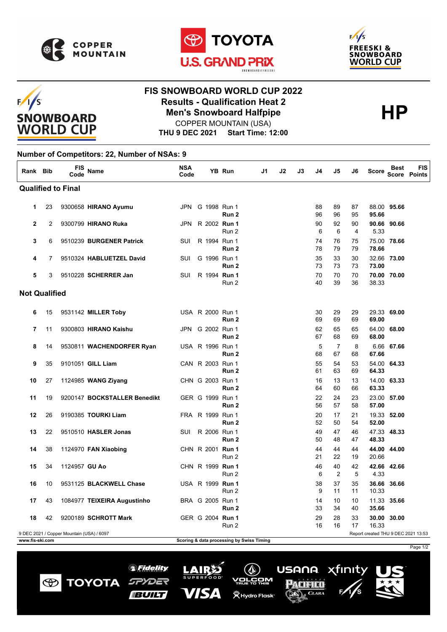

 $F/I/S$ 

**SNOWBOARD WORLD CUP** 





## **FIS SNOWBOARD WORLD CUP 2022 Results - Qualification Heat 2**<br>
Men's Snowboard Halfpipe<br>
COPPER MOUNTAIN (USA) COPPER MOUNTAIN (USA)

Page 1/2

xfinity

USANA.

Pacifico

 $\mathcal{L}$ . CLARA

 $\mathbb{Q}$ 

<u>/orčom</u>

**(WHydro Flask**®

**THU 9 DEC 2021 Start Time: 12:00**

## **Number of Competitors: 22, Number of NSAs: 9**

| Rank Bib                                                                                                                                         |                | FIS<br>Code   | <b>Name</b>                  | <b>NSA</b><br>Code |                         | YB Run           | J1 | J2 | J3 | J4       | J5                   | J6                   | Score | <b>Best</b> | <b>FIS</b><br>Score Points |
|--------------------------------------------------------------------------------------------------------------------------------------------------|----------------|---------------|------------------------------|--------------------|-------------------------|------------------|----|----|----|----------|----------------------|----------------------|-------|-------------|----------------------------|
| <b>Qualified to Final</b>                                                                                                                        |                |               |                              |                    |                         |                  |    |    |    |          |                      |                      |       |             |                            |
| 1.                                                                                                                                               | 23             |               | 9300658 HIRANO Ayumu         |                    | JPN G 1998 Run 1        | Run 2            |    |    |    | 88<br>96 | 89<br>96             | 87<br>95             | 95.66 | 88.00 95.66 |                            |
| $\mathbf{2}$                                                                                                                                     | $\overline{2}$ |               | 9300799 HIRANO Ruka          |                    | JPN R 2002 Run 1        | Run 2            |    |    |    | 90<br>6  | 92<br>6              | 90<br>$\overline{4}$ | 5.33  | 90.66 90.66 |                            |
| 3                                                                                                                                                | 6              |               | 9510239 BURGENER Patrick     | SUI                | R 1994 Run 1            | Run 2            |    |    |    | 74<br>78 | 76<br>79             | 75<br>79             | 78.66 | 75.00 78.66 |                            |
| 4                                                                                                                                                | 7              |               | 9510324 HABLUETZEL David     | SUI                | G 1996 Run 1            | Run 2            |    |    |    | 35<br>73 | 33<br>73             | 30<br>73             | 73.00 | 32.66 73.00 |                            |
| 5                                                                                                                                                | 3              |               | 9510228 SCHERRER Jan         | SUI                | R 1994 Run 1            | Run 2            |    |    |    | 70<br>40 | 70<br>39             | 70<br>36             | 38.33 | 70.00 70.00 |                            |
| <b>Not Qualified</b>                                                                                                                             |                |               |                              |                    |                         |                  |    |    |    |          |                      |                      |       |             |                            |
| 6                                                                                                                                                | 15             |               | 9531142 MILLER Toby          |                    | USA R 2000 Run 1        | Run <sub>2</sub> |    |    |    | 30<br>69 | 29<br>69             | 29<br>69             | 69.00 | 29.33 69.00 |                            |
| $\overline{7}$                                                                                                                                   | 11             |               | 9300803 HIRANO Kaishu        |                    | JPN G 2002 Run 1        | Run 2            |    |    |    | 62<br>67 | 65<br>68             | 65<br>69             | 68.00 | 64.00 68.00 |                            |
| 8                                                                                                                                                | 14             |               | 9530811 WACHENDORFER Ryan    |                    | USA R 1996 Run 1        | Run 2            |    |    |    | 5<br>68  | $\overline{7}$<br>67 | 8<br>68              | 67.66 | 6.66 67.66  |                            |
| 9                                                                                                                                                | 35             |               | 9101051 GILL Liam            |                    | CAN R 2003 Run 1        | Run <sub>2</sub> |    |    |    | 55<br>61 | 54<br>63             | 53<br>69             | 64.33 | 54.00 64.33 |                            |
| 10                                                                                                                                               | 27             |               | 1124985 WANG Ziyang          |                    | CHN G 2003 Run 1        | Run 2            |    |    |    | 16<br>64 | 13<br>60             | 13<br>66             | 63.33 | 14.00 63.33 |                            |
| 11                                                                                                                                               | 19             |               | 9200147 BOCKSTALLER Benedikt |                    | GER G 1999 Run 1        | Run <sub>2</sub> |    |    |    | 22<br>56 | 24<br>57             | 23<br>58             | 57.00 | 23.00 57.00 |                            |
| 12                                                                                                                                               | 26             |               | 9190385 TOURKI Liam          |                    | FRA R 1999 Run 1        | Run <sub>2</sub> |    |    |    | 20<br>52 | 17<br>50             | 21<br>54             | 52.00 | 19.33 52.00 |                            |
| 13                                                                                                                                               | 22             |               | 9510510 HASLER Jonas         | SUI                | R 2006 Run 1            | Run 2            |    |    |    | 49<br>50 | 47<br>48             | 46<br>47             | 48.33 | 47.33 48.33 |                            |
| 14                                                                                                                                               | 38             |               | 1124970 FAN Xiaobing         |                    | CHN R 2001 Run 1        | Run 2            |    |    |    | 44<br>21 | 44<br>22             | 44<br>19             | 20.66 | 44.00 44.00 |                            |
| 15                                                                                                                                               | 34             | 1124957 GU Ao |                              |                    | CHN R 1999 Run 1        | Run 2            |    |    |    | 46<br>6  | 40<br>2              | 42<br>5              | 4.33  | 42.66 42.66 |                            |
| 16                                                                                                                                               | 10             |               | 9531125 BLACKWELL Chase      |                    | USA R 1999 <b>Run 1</b> | Run 2            |    |    |    | 38<br>9  | 37<br>11             | 35<br>11             | 10.33 | 36.66 36.66 |                            |
| 17                                                                                                                                               | 43             |               | 1084977 TEIXEIRA Augustinho  |                    | BRA G 2005 Run 1        | Run <sub>2</sub> |    |    |    | 14<br>33 | 10<br>34             | 10<br>40             | 35.66 | 11.33 35.66 |                            |
| 18                                                                                                                                               | 42             |               | 9200189 SCHROTT Mark         |                    | GER G 2004 Run 1        | Run 2            |    |    |    | 29<br>16 | 28<br>16             | 33<br>17             | 16.33 | 30.00 30.00 |                            |
| Report created THU 9 DEC 2021 13:53<br>9 DEC 2021 / Copper Mountain (USA) / 6097<br>Scoring & data processing by Swiss Timing<br>www.fis-ski.com |                |               |                              |                    |                         |                  |    |    |    |          |                      |                      |       |             |                            |

*SFidelity* 

SPYDER

**BUILT** 

**TOYOTA** 

 $\bigcirc$ 

**LAIRS** 

VISA